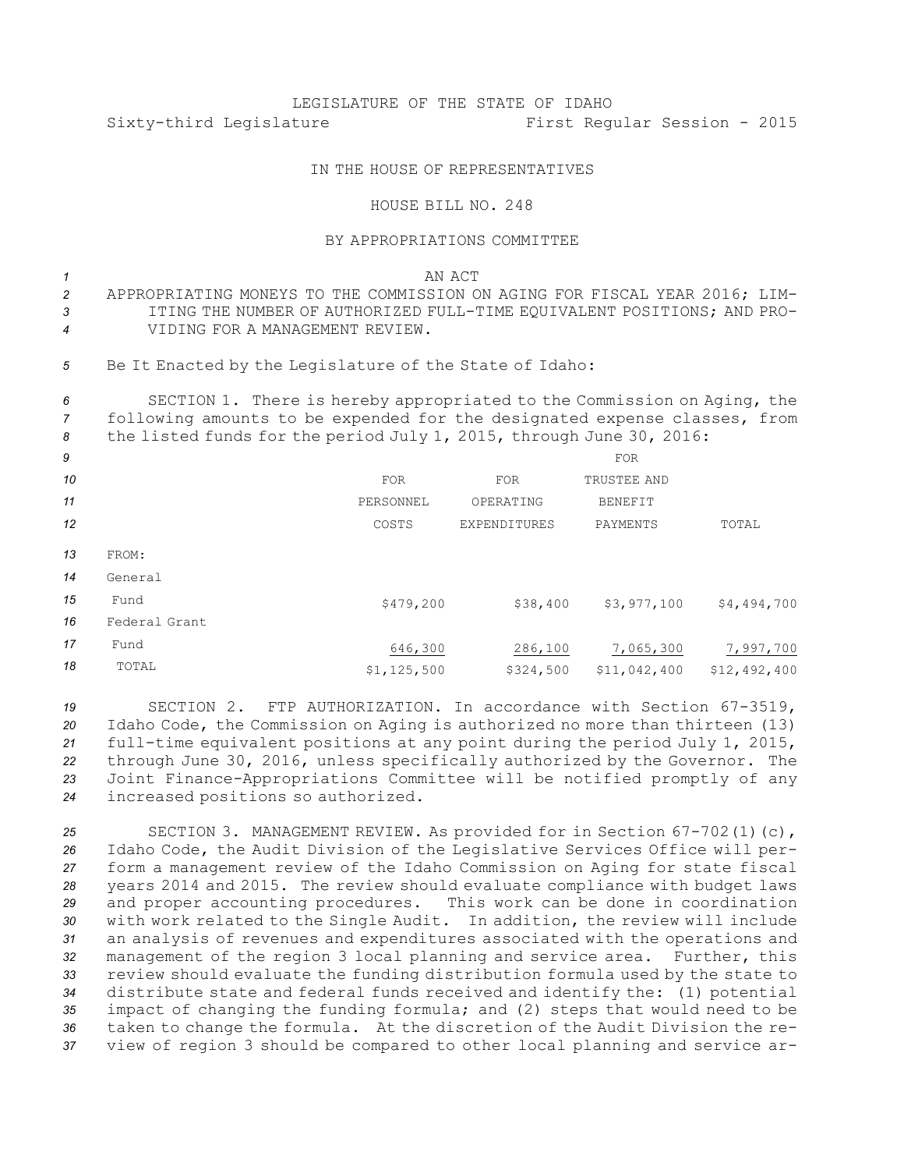## LEGISLATURE OF THE STATE OF IDAHO Sixty-third Legislature First Regular Session - 2015

## IN THE HOUSE OF REPRESENTATIVES

## HOUSE BILL NO. 248

## BY APPROPRIATIONS COMMITTEE

*1* AN ACT

- *2* APPROPRIATING MONEYS TO THE COMMISSION ON AGING FOR FISCAL YEAR 2016; LIM-*3* ITING THE NUMBER OF AUTHORIZED FULL-TIME EQUIVALENT POSITIONS; AND PRO-*4* VIDING FOR A MANAGEMENT REVIEW.
- *<sup>5</sup>* Be It Enacted by the Legislature of the State of Idaho:

*<sup>6</sup>* SECTION 1. There is hereby appropriated to the Commission on Aging, the *<sup>7</sup>* following amounts to be expended for the designated expense classes, from *<sup>8</sup>* the listed funds for the period July 1, 2015, through June 30, 2016:

| 9  |               |               |                     | <b>FOR</b>     |              |
|----|---------------|---------------|---------------------|----------------|--------------|
| 10 |               | <b>FOR</b>    | <b>FOR</b>          | TRUSTEE AND    |              |
| 11 |               | PERSONNEL     | OPERATING           | <b>BENEFIT</b> |              |
| 12 |               | COSTS         | <b>EXPENDITURES</b> | PAYMENTS       | TOTAL        |
| 13 | FROM:         |               |                     |                |              |
| 14 | General       |               |                     |                |              |
| 15 | Fund          | \$479,200     | \$38,400            | \$3,977,100    | \$4,494,700  |
| 16 | Federal Grant |               |                     |                |              |
| 17 | Fund          | 646,300       | 286,100             | 7,065,300      | 7,997,700    |
| 18 | TOTAL         | \$1, 125, 500 | \$324,500           | \$11,042,400   | \$12,492,400 |
|    |               |               |                     |                |              |

 SECTION 2. FTP AUTHORIZATION. In accordance with Section 67-3519, Idaho Code, the Commission on Aging is authorized no more than thirteen (13) full-time equivalent positions at any point during the period July 1, 2015, through June 30, 2016, unless specifically authorized by the Governor. The Joint Finance-Appropriations Committee will be notified promptly of any increased positions so authorized.

 SECTION 3. MANAGEMENT REVIEW. As provided for in Section 67-702(1)(c), Idaho Code, the Audit Division of the Legislative Services Office will per- form <sup>a</sup> management review of the Idaho Commission on Aging for state fiscal years 2014 and 2015. The review should evaluate compliance with budget laws and proper accounting procedures. This work can be done in coordination with work related to the Single Audit. In addition, the review will include an analysis of revenues and expenditures associated with the operations and management of the region 3 local planning and service area. Further, this review should evaluate the funding distribution formula used by the state to distribute state and federal funds received and identify the: (1) potential impact of changing the funding formula; and (2) steps that would need to be taken to change the formula. At the discretion of the Audit Division the re-view of region 3 should be compared to other local planning and service ar